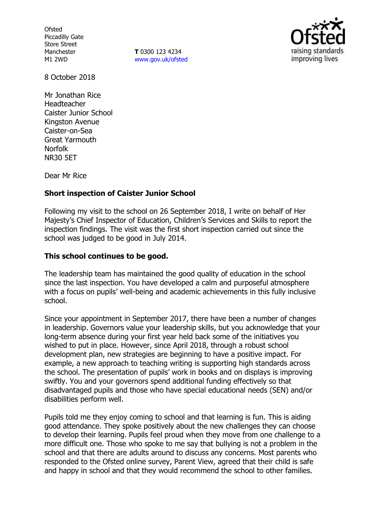**Ofsted** Piccadilly Gate Store Street Manchester M1 2WD

**T** 0300 123 4234 www.gov.uk/ofsted



8 October 2018

Mr Jonathan Rice Headteacher Caister Junior School Kingston Avenue Caister-on-Sea Great Yarmouth Norfolk NR30 5ET

Dear Mr Rice

# **Short inspection of Caister Junior School**

Following my visit to the school on 26 September 2018, I write on behalf of Her Majesty's Chief Inspector of Education, Children's Services and Skills to report the inspection findings. The visit was the first short inspection carried out since the school was judged to be good in July 2014.

# **This school continues to be good.**

The leadership team has maintained the good quality of education in the school since the last inspection. You have developed a calm and purposeful atmosphere with a focus on pupils' well-being and academic achievements in this fully inclusive school.

Since your appointment in September 2017, there have been a number of changes in leadership. Governors value your leadership skills, but you acknowledge that your long-term absence during your first year held back some of the initiatives you wished to put in place. However, since April 2018, through a robust school development plan, new strategies are beginning to have a positive impact. For example, a new approach to teaching writing is supporting high standards across the school. The presentation of pupils' work in books and on displays is improving swiftly. You and your governors spend additional funding effectively so that disadvantaged pupils and those who have special educational needs (SEN) and/or disabilities perform well.

Pupils told me they enjoy coming to school and that learning is fun. This is aiding good attendance. They spoke positively about the new challenges they can choose to develop their learning. Pupils feel proud when they move from one challenge to a more difficult one. Those who spoke to me say that bullying is not a problem in the school and that there are adults around to discuss any concerns. Most parents who responded to the Ofsted online survey, Parent View, agreed that their child is safe and happy in school and that they would recommend the school to other families.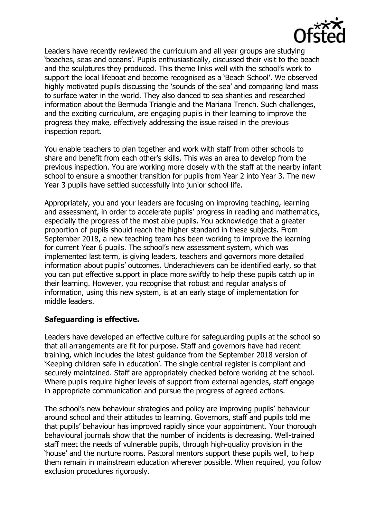

Leaders have recently reviewed the curriculum and all year groups are studying 'beaches, seas and oceans'. Pupils enthusiastically, discussed their visit to the beach and the sculptures they produced. This theme links well with the school's work to support the local lifeboat and become recognised as a 'Beach School'. We observed highly motivated pupils discussing the 'sounds of the sea' and comparing land mass to surface water in the world. They also danced to sea shanties and researched information about the Bermuda Triangle and the Mariana Trench. Such challenges, and the exciting curriculum, are engaging pupils in their learning to improve the progress they make, effectively addressing the issue raised in the previous inspection report.

You enable teachers to plan together and work with staff from other schools to share and benefit from each other's skills. This was an area to develop from the previous inspection. You are working more closely with the staff at the nearby infant school to ensure a smoother transition for pupils from Year 2 into Year 3. The new Year 3 pupils have settled successfully into junior school life.

Appropriately, you and your leaders are focusing on improving teaching, learning and assessment, in order to accelerate pupils' progress in reading and mathematics, especially the progress of the most able pupils. You acknowledge that a greater proportion of pupils should reach the higher standard in these subjects. From September 2018, a new teaching team has been working to improve the learning for current Year 6 pupils. The school's new assessment system, which was implemented last term, is giving leaders, teachers and governors more detailed information about pupils' outcomes. Underachievers can be identified early, so that you can put effective support in place more swiftly to help these pupils catch up in their learning. However, you recognise that robust and regular analysis of information, using this new system, is at an early stage of implementation for middle leaders.

# **Safeguarding is effective.**

Leaders have developed an effective culture for safeguarding pupils at the school so that all arrangements are fit for purpose. Staff and governors have had recent training, which includes the latest guidance from the September 2018 version of 'Keeping children safe in education'. The single central register is compliant and securely maintained. Staff are appropriately checked before working at the school. Where pupils require higher levels of support from external agencies, staff engage in appropriate communication and pursue the progress of agreed actions.

The school's new behaviour strategies and policy are improving pupils' behaviour around school and their attitudes to learning. Governors, staff and pupils told me that pupils' behaviour has improved rapidly since your appointment. Your thorough behavioural journals show that the number of incidents is decreasing. Well-trained staff meet the needs of vulnerable pupils, through high-quality provision in the 'house' and the nurture rooms. Pastoral mentors support these pupils well, to help them remain in mainstream education wherever possible. When required, you follow exclusion procedures rigorously.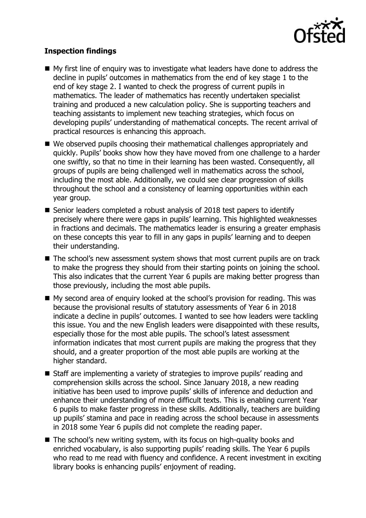

# **Inspection findings**

- My first line of enquiry was to investigate what leaders have done to address the decline in pupils' outcomes in mathematics from the end of key stage 1 to the end of key stage 2. I wanted to check the progress of current pupils in mathematics. The leader of mathematics has recently undertaken specialist training and produced a new calculation policy. She is supporting teachers and teaching assistants to implement new teaching strategies, which focus on developing pupils' understanding of mathematical concepts. The recent arrival of practical resources is enhancing this approach.
- We observed pupils choosing their mathematical challenges appropriately and quickly. Pupils' books show how they have moved from one challenge to a harder one swiftly, so that no time in their learning has been wasted. Consequently, all groups of pupils are being challenged well in mathematics across the school, including the most able. Additionally, we could see clear progression of skills throughout the school and a consistency of learning opportunities within each year group.
- Senior leaders completed a robust analysis of 2018 test papers to identify precisely where there were gaps in pupils' learning. This highlighted weaknesses in fractions and decimals. The mathematics leader is ensuring a greater emphasis on these concepts this year to fill in any gaps in pupils' learning and to deepen their understanding.
- The school's new assessment system shows that most current pupils are on track to make the progress they should from their starting points on joining the school. This also indicates that the current Year 6 pupils are making better progress than those previously, including the most able pupils.
- My second area of enquiry looked at the school's provision for reading. This was because the provisional results of statutory assessments of Year 6 in 2018 indicate a decline in pupils' outcomes. I wanted to see how leaders were tackling this issue. You and the new English leaders were disappointed with these results, especially those for the most able pupils. The school's latest assessment information indicates that most current pupils are making the progress that they should, and a greater proportion of the most able pupils are working at the higher standard.
- Staff are implementing a variety of strategies to improve pupils' reading and comprehension skills across the school. Since January 2018, a new reading initiative has been used to improve pupils' skills of inference and deduction and enhance their understanding of more difficult texts. This is enabling current Year 6 pupils to make faster progress in these skills. Additionally, teachers are building up pupils' stamina and pace in reading across the school because in assessments in 2018 some Year 6 pupils did not complete the reading paper.
- The school's new writing system, with its focus on high-quality books and enriched vocabulary, is also supporting pupils' reading skills. The Year 6 pupils who read to me read with fluency and confidence. A recent investment in exciting library books is enhancing pupils' enjoyment of reading.